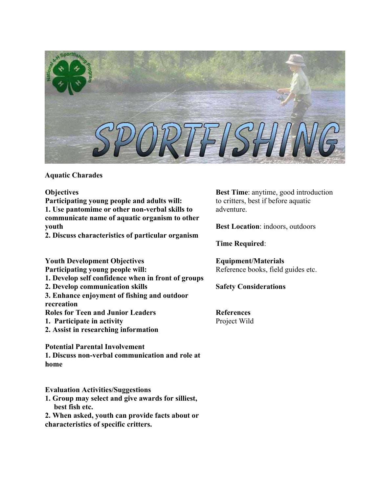

## **Aquatic Charades**

**Objectives Participating young people and adults will: 1. Use pantomime or other non-verbal skills to communicate name of aquatic organism to other youth** 

**2. Discuss characteristics of particular organism** 

**Youth Development Objectives Participating young people will:** 

- **1. Develop self confidence when in front of groups**
- **2. Develop communication skills**

**3. Enhance enjoyment of fishing and outdoor recreation**

**Roles for Teen and Junior Leaders** 

- **1. Participate in activity**
- **2. Assist in researching information**

**Potential Parental Involvement** 

**1. Discuss non-verbal communication and role at home** 

**Evaluation Activities/Suggestions** 

**1. Group may select and give awards for silliest, best fish etc.** 

**2. When asked, youth can provide facts about or characteristics of specific critters.** 

**Best Time**: anytime, good introduction to critters, best if before aquatic adventure.

**Best Location**: indoors, outdoors

**Time Required**:

**Equipment/Materials** Reference books, field guides etc.

**Safety Considerations**

**References** Project Wild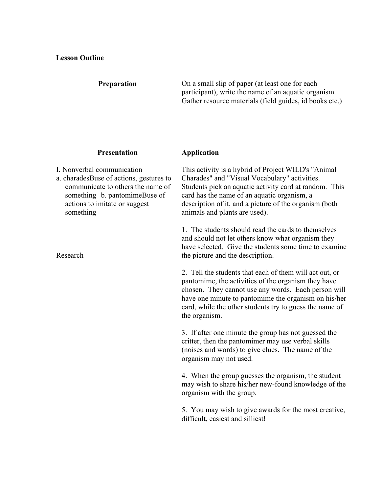## **Preparation**

On a small slip of paper (at least one for each participant), write the name of an aquatic organism. Gather resource materials (field guides, id books etc.)

## **Presentation**

I. Nonverbal communication

a. charadesBuse of actions, gestures to communicate to others the name of something b. pantomimeBuse of actions to imitate or suggest something

Research

## **Application**

This activity is a hybrid of Project WILD's "Animal Charades" and "Visual Vocabulary" activities. Students pick an aquatic activity card at random. This card has the name of an aquatic organism, a description of it, and a picture of the organism (both animals and plants are used).

1. The students should read the cards to themselves and should not let others know what organism they have selected. Give the students some time to examine the picture and the description.

2. Tell the students that each of them will act out, or pantomime, the activities of the organism they have chosen. They cannot use any words. Each person will have one minute to pantomime the organism on his/her card, while the other students try to guess the name of the organism.

3. If after one minute the group has not guessed the critter, then the pantomimer may use verbal skills (noises and words) to give clues. The name of the organism may not used.

4. When the group guesses the organism, the student may wish to share his/her new-found knowledge of the organism with the group.

5. You may wish to give awards for the most creative, difficult, easiest and silliest!